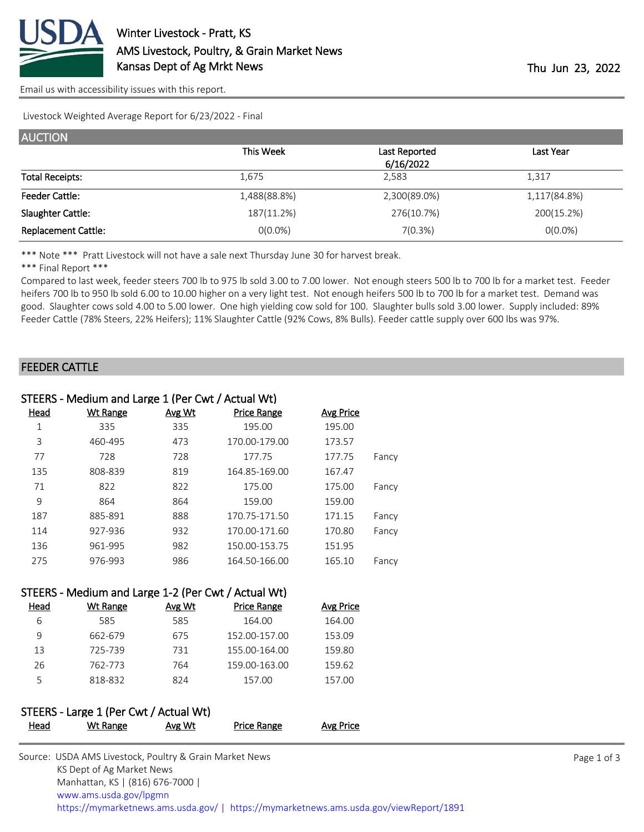

[Email us with accessibility issues with this report.](mailto:mars@ams.usda.gov?subject=508%20issue)

Livestock Weighted Average Report for 6/23/2022 - Final

| <b>AUCTION</b>             |              |               |              |
|----------------------------|--------------|---------------|--------------|
|                            | This Week    | Last Reported | Last Year    |
|                            |              | 6/16/2022     |              |
| <b>Total Receipts:</b>     | 1.675        | 2.583         | 1,317        |
| <b>Feeder Cattle:</b>      | 1,488(88.8%) | 2,300(89.0%)  | 1,117(84.8%) |
| Slaughter Cattle:          | 187(11.2%)   | 276(10.7%)    | 200(15.2%)   |
| <b>Replacement Cattle:</b> | $O(0.0\%)$   | 7(0.3%)       | $O(0.0\%)$   |

\*\*\* Note \*\*\* Pratt Livestock will not have a sale next Thursday June 30 for harvest break.

\*\*\* Final Report \*\*\*

Compared to last week, feeder steers 700 lb to 975 lb sold 3.00 to 7.00 lower. Not enough steers 500 lb to 700 lb for a market test. Feeder heifers 700 lb to 950 lb sold 6.00 to 10.00 higher on a very light test. Not enough heifers 500 lb to 700 lb for a market test. Demand was good. Slaughter cows sold 4.00 to 5.00 lower. One high yielding cow sold for 100. Slaughter bulls sold 3.00 lower. Supply included: 89% Feeder Cattle (78% Steers, 22% Heifers); 11% Slaughter Cattle (92% Cows, 8% Bulls). Feeder cattle supply over 600 lbs was 97%.

#### FEEDER CATTLE

|      | STEERS - Medium and Large 1 (Per Cwt / Actual Wt) |               |                    |                  |       |
|------|---------------------------------------------------|---------------|--------------------|------------------|-------|
| Head | <b>Wt Range</b>                                   | <b>Avg Wt</b> | <b>Price Range</b> | <b>Avg Price</b> |       |
| 1    | 335                                               | 335           | 195.00             | 195.00           |       |
| 3    | 460-495                                           | 473           | 170.00-179.00      | 173.57           |       |
| 77   | 728                                               | 728           | 177.75             | 177.75           | Fancy |
| 135  | 808-839                                           | 819           | 164.85-169.00      | 167.47           |       |
| 71   | 822                                               | 822           | 175.00             | 175.00           | Fancy |
| 9    | 864                                               | 864           | 159.00             | 159.00           |       |
| 187  | 885-891                                           | 888           | 170.75-171.50      | 171.15           | Fancy |
| 114  | 927-936                                           | 932           | 170.00-171.60      | 170.80           | Fancy |
| 136  | 961-995                                           | 982           | 150.00-153.75      | 151.95           |       |
| 275  | 976-993                                           | 986           | 164.50-166.00      | 165.10           | Fancy |
|      |                                                   |               |                    |                  |       |

|      | STEERS - Medium and Large 1-2 (Per Cwt / Actual Wt) |        |                    |           |
|------|-----------------------------------------------------|--------|--------------------|-----------|
| Head | Wt Range                                            | Avg Wt | <b>Price Range</b> | Avg Price |
| 6    | 585                                                 | 585    | 164.00             | 164.00    |
| 9    | 662-679                                             | 675    | 152.00-157.00      | 153.09    |
| 13   | 725-739                                             | 731    | 155.00-164.00      | 159.80    |
| 26   | 762-773                                             | 764    | 159.00-163.00      | 159.62    |
| 5    | 818-832                                             | 824    | 157.00             | 157.00    |

#### STEERS - Large 1 (Per Cwt / Actual Wt) Head Wt Range Avg Wt Price Range Avg Price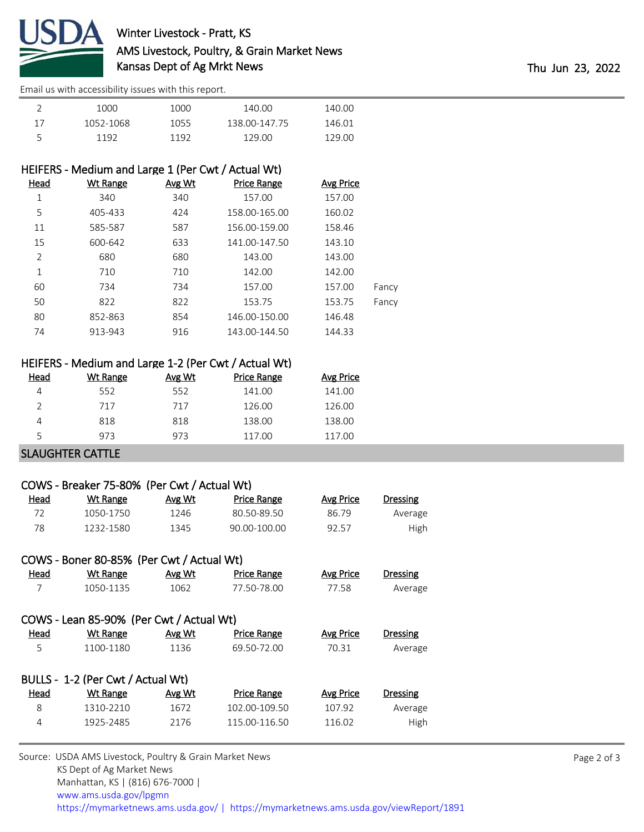

# Winter Livestock - Pratt, KS AMS Livestock, Poultry, & Grain Market News Kansas Dept of Ag Mrkt News Thu Jun 23, 2022

[Email us with accessibility issues with this report.](mailto:mars@ams.usda.gov?subject=508%20issue)

| 1000      | 1000 | 140.00        | 140.00 |  |
|-----------|------|---------------|--------|--|
| 1052-1068 | 1055 | 138.00-147.75 | 146.01 |  |
| 1192      | 1192 | 129 OO        | 129.00 |  |

### HEIFERS - Medium and Large 1 (Per Cwt / Actual Wt)

| Head | <b>Wt Range</b> | Avg Wt | <b>Price Range</b> | <b>Avg Price</b> |       |
|------|-----------------|--------|--------------------|------------------|-------|
| 1    | 340             | 340    | 157.00             | 157.00           |       |
| 5    | 405-433         | 424    | 158.00-165.00      | 160.02           |       |
| 11   | 585-587         | 587    | 156.00-159.00      | 158.46           |       |
| 15   | 600-642         | 633    | 141.00-147.50      | 143.10           |       |
| 2    | 680             | 680    | 143.00             | 143.00           |       |
| 1    | 710             | 710    | 142.00             | 142.00           |       |
| 60   | 734             | 734    | 157.00             | 157.00           | Fancy |
| 50   | 822             | 822    | 153.75             | 153.75           | Fancy |
| 80   | 852-863         | 854    | 146.00-150.00      | 146.48           |       |
| 74   | 913-943         | 916    | 143.00-144.50      | 144.33           |       |

## HEIFERS - Medium and Large 1-2 (Per Cwt / Actual Wt)

| Head | Wt Range | Avg Wt | <b>Price Range</b> | Avg Price |
|------|----------|--------|--------------------|-----------|
|      | 552      | 552    | 141.00             | 141.00    |
|      | 717      | 717    | 126.00             | 126.00    |
| 4    | 818      | 818    | 138.00             | 138.00    |
| 5    | 973      | 973    | 117.00             | 117.00    |
|      |          |        |                    |           |

#### SLAUGHTER CATTLE

# COWS - Breaker 75-80% (Per Cwt / Actual Wt) Head Wt Range Avg Wt Price Range Avg Price Dressing 72 1050-1750 1246 80.50-89.50 86.79 Average 78 1232-1580 1345 90.00-100.00 92.57 High COWS - Boner 80-85% (Per Cwt / Actual Wt) Head Wt Range Avg Wt Price Range Avg Price Dressing 7 1050-1135 1062 77.50-78.00 77.58 Average COWS - Lean 85-90% (Per Cwt / Actual Wt) Head Wt Range Avg Wt Price Range Avg Price Dressing 5 1100-1180 1136 69.50-72.00 70.31 Average BULLS - 1-2 (Per Cwt / Actual Wt)

| <u>Head</u> | Wt Range  | Avg Wt | Price Range   | Avg Price | Dressing |
|-------------|-----------|--------|---------------|-----------|----------|
|             | 1310-2210 | 1672   | 102.00-109.50 | 107.92    | Average  |
|             | 1925-2485 | 2176   | 115.00-116.50 | 116.02    | High     |